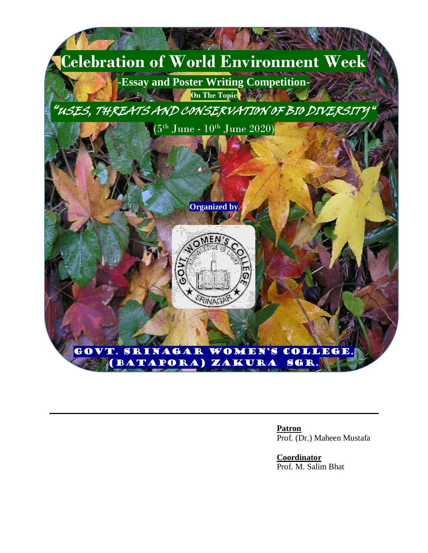

**Patron**  Prof. (Dr.) Maheen Mustafa

**Coordinator**  Prof. M. Salim Bhat